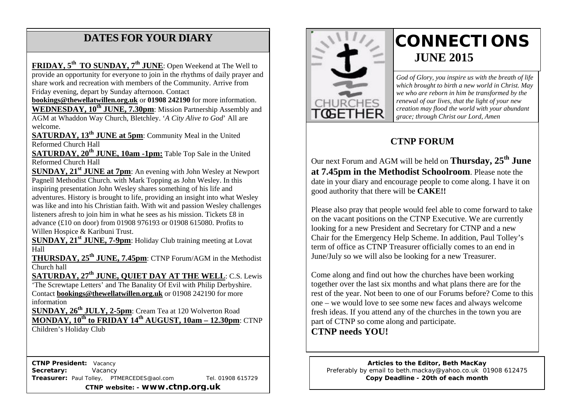# **DATES FOR YOUR DIARY**

 share work and recreation with members of the Community. Arrive from Friday evening, depart by Sunday afternoon. Contact **FRIDAY, 5th TO SUNDAY, 7th JUNE**: Open Weekend at The Well to provide an opportunity for everyone to join in the rhythms of daily prayer and

**WEDNESDAY, 10<sup>th</sup> JUNE, 7.30pm**: Mission Partnership Assembly and **WEDNESDAY, 10<sup>th</sup> JUNE, 7.30pm**: Mission Partnership Assembly and **bookings@thewellatwillen.org.uk** or **01908 242190** for more information. AGM at Whaddon Way Church, Bletchley. '*A City Alive to God*' All are welcome.

**SATURDAY, 13<sup>th</sup> JUNE at 5pm**: Community Meal in the United Reformed Church Hall

**SATURDAY, 20<sup>th</sup> JUNE, 10am -1pm:** Table Top Sale in the United Reformed Church Hall

**SUNDAY, 21<sup>st</sup> JUNE at 7pm**: An evening with John Wesley at Newport Pagnell Methodist Church. with Mark Topping as John Wesley. In this inspiring presentation John Wesley shares something of his life and adventures. History is brought to life, providing an insight into what Wesley was like and into his Christian faith. With wit and passion Wesley challenges listeners afresh to join him in what he sees as his mission. Tickets £8 in advance (£10 on door) from 01908 976193 or 01908 615080. Profits to Willen Hospice & Karibuni Trust.

**SUNDAY, 21<sup>st</sup> JUNE, 7-9pm**: Holiday Club training meeting at Lovat Hall

**THURSDAY, 25<sup>th</sup> JUNE, 7.45pm**: CTNP Forum/AGM in the Methodist Church hall

**SATURDAY, 27th JUNE, QUIET DAY AT THE WELL**: C.S. Lewis 'The Screwtape Letters' and The Banality Of Evil with Philip Derbyshire. Contact **bookings@thewellatwillen.org.uk** or 01908 242190 for more information

**SUNDAY, 26th JULY, 2-5pm**: Cream Tea at 120 Wolverton Road **MONDAY, 10th to FRIDAY 14th AUGUST, 10am – 12.30pm**: CTNP

Children's Holiday Club

 **CTNP President:** Vacancy Secretary: **Vacancy Treasurer:** Paul Tolley, PTMERCEDES@aol.com Tel. 01908 615729 **CTNP website: - www.ctnp.org.uk**



# **CONNECTIONS JUNE 2015**

*God of Glory, you inspire us with the breath of life which brought to birth a new world in Christ. May we who are reborn in him be transformed by the renewal of our lives, that the light of your new creation may flood the world with your abundant grace; through Christ our Lord, Amen*

# **CTNP FORUM**

Our next Forum and AGM will be held on **Thursday, 25th June at 7.45pm in the Methodist Schoolroom**. Please note the date in your diary and encourage people to come along. I have it on good authority that there will be **CAKE!!**

Please also pray that people would feel able to come forward to take on the vacant positions on the CTNP Executive. We are currently looking for a new President and Secretary for CTNP and a new Chair for the Emergency Help Scheme. In addition, Paul Tolley's term of office as CTNP Treasurer officially comes to an end in June/July so we will also be looking for a new Treasurer.

Come along and find out how the churches have been working together over the last six months and what plans there are for the rest of the year. Not been to one of our Forums before? Come to this one – we would love to see some new faces and always welcome fresh ideas. If you attend any of the churches in the town you are part of CTNP so come along and participate.

**CTNP needs YOU!**

**Articles to the Editor, Beth MacKay** Preferably by email to beth.mackay@yahoo.co.uk 01908 612475 **Copy Deadline - 20th of each month**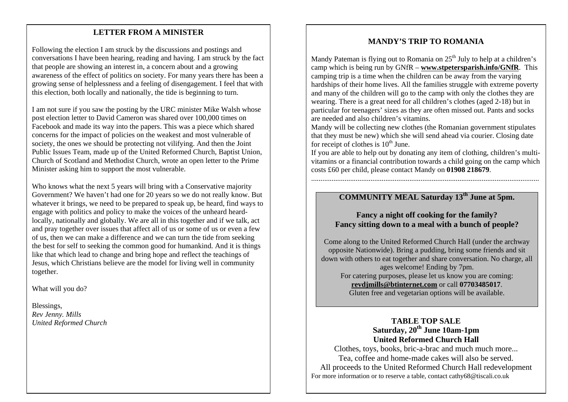#### mee **LETTER FROM A MINISTER**

Following the election I am struck by the discussions and postings and conversations I have been hearing, reading and having. I am struck by the fact that people are showing an interest in, a concern about and a growing awareness of the effect of politics on society. For many years there has been a growing sense of helplessness and a feeling of disengagement. I feel that with this election, both locally and nationally, the tide is beginning to turn.

I am not sure if you saw the posting by the URC minister Mike Walsh whose post election letter to David Cameron was shared over 100,000 times on Facebook and made its way into the papers. This was a piece which shared concerns for the impact of policies on the weakest and most vulnerable of society, the ones we should be protecting not vilifying. And then the Joint Public Issues Team, made up of the United Reformed Church, Baptist Union, Church of Scotland and Methodist Church, wrote an open letter to the Prime Minister asking him to support the most vulnerable.

Who knows what the next 5 years will bring with a Conservative majority Government? We haven't had one for 20 years so we do not really know. But whatever it brings, we need to be prepared to speak up, be heard, find ways to engage with politics and policy to make the voices of the unheard heardlocally, nationally and globally. We are all in this together and if we talk, act and pray together over issues that affect all of us or some of us or even a few of us, then we can make a difference and we can turn the tide from seeking the best for self to seeking the common good for humankind. And it is things like that which lead to change and bring hope and reflect the teachings of Jesus, which Christians believe are the model for living well in community together.

What will you do?

Blessings, *Rev Jenny. Mills United Reformed Church*

#### **MANDY'S TRIP TO ROMANIA**

Mandy Pateman is flying out to Romania on  $25<sup>th</sup>$  July to help at a children's camp which is being run by GNfR – **www.stpetersparish.info/GNfR**. This camping trip is a time when the children can be away from the varying hardships of their home lives. All the families struggle with extreme poverty and many of the children will go to the camp with only the clothes they are wearing. There is a great need for all children's clothes (aged 2-18) but in particular for teenagers' sizes as they are often missed out. Pants and socks are needed and also children's vitamins.

Mandy will be collecting new clothes (the Romanian government stipulates that they must be new) which she will send ahead via courier. Closing date for receipt of clothes is  $10<sup>th</sup>$  June.

If you are able to help out by donating any item of clothing, children's multivitamins or a financial contribution towards a child going on the camp which costs £60 per child, please contact Mandy on **01908 218679**.

...........................................................................................................................

### **COMMUNITY MEAL Saturday 13th June at 5pm.**

#### **Fancy a night off cooking for the family? Fancy sitting down to a meal with a bunch of people?**

Come along to the United Reformed Church Hall (under the archway opposite Nationwide). Bring a pudding, bring some friends and sit down with others to eat together and share conversation. No charge, all ages welcome! Ending by 7pm. For catering purposes, please let us know you are coming: **revdjmills@btinternet.com** or call **07703485017**. Gluten free and vegetarian options will be available.

#### **TABLE TOP SALE Saturday, 20th June 10am-1pm United Reformed Church Hall**

Clothes, toys, books, bric-a-brac and much much more... Tea, coffee and home-made cakes will also be served. All proceeds to the United Reformed Church Hall redevelopment For more information or to reserve a table, contact cathy68@tiscali.co.uk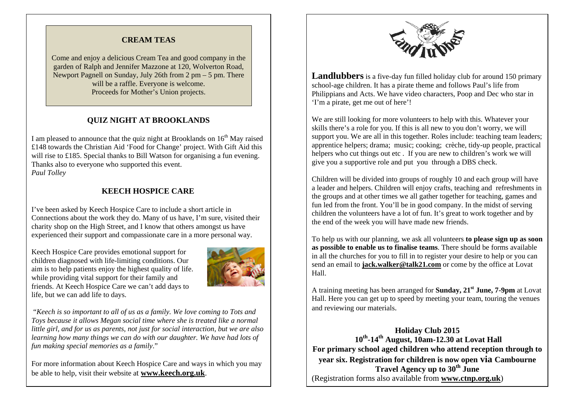#### **CREAM TEAS**

Come and enjoy a delicious Cream Tea and good company in the garden of Ralph and Jennifer Mazzone at 120, Wolverton Road, Newport Pagnell on Sunday, July 26th from 2 pm – 5 pm. There will be a raffle. Everyone is welcome. Proceeds for Mother's Union projects.

#### **QUIZ NIGHT AT BROOKLANDS**

I am pleased to announce that the quiz night at Brooklands on  $16<sup>th</sup>$  May raised £148 towards the Christian Aid 'Food for Change' project. With Gift Aid this will rise to £185. Special thanks to Bill Watson for organising a fun evening. Thanks also to everyone who supported this event. *Paul Tolley*

#### **KEECH HOSPICE CARE**

I've been asked by Keech Hospice Care to include a short article in Connections about the work they do. Many of us have, I'm sure, visited their charity shop on the High Street, and I know that others amongst us have experienced their support and compassionate care in a more personal way.

Keech Hospice Care provides emotional support for children diagnosed with life-limiting conditions. Our aim is to help patients enjoy the highest quality of life. while providing vital support for their family and friends. At Keech Hospice Care we can't add days to life, but we can add life to days.



"*Keech is so important to all of us as a family. We love coming to Tots and Toys because it allows Megan social time where she is treated like a normal little girl, and for us as parents, not just for social interaction, but we are also learning how many things we can do with our daughter. We have had lots of fun making special memories as a family*."

For more information about Keech Hospice Care and ways in which you may be able to help, visit their website at **www.keech.org.uk**.



**Landlubbers** is a five-day fun filled holiday club for around 150 primary school-age children. It has a pirate theme and follows Paul's life from Philippians and Acts. We have video characters, Poop and Dec who star in 'I'm a pirate, get me out of here'!

We are still looking for more volunteers to help with this. Whatever your skills there's a role for you. If this is all new to you don't worry, we will support you. We are all in this together. Roles include: teaching team leaders; apprentice helpers; drama; music; cooking; crèche, tidy-up people, practical helpers who cut things out etc. If you are new to children's work we will give you a supportive role and put you through a DBS check.

Children will be divided into groups of roughly 10 and each group will have a leader and helpers. Children will enjoy crafts, teaching and refreshments in the groups and at other times we all gather together for teaching, games and fun led from the front. You'll be in good company. In the midst of serving children the volunteers have a lot of fun. It's great to work together and by the end of the week you will have made new friends.

To help us with our planning, we ask all volunteers **to please sign up as soon as possible to enable us to finalise teams**. There should be forms available in all the churches for you to fill in to register your desire to help or you can send an email to **jack.walker@talk21.com** or come by the office at Lovat Hall.

A training meeting has been arranged for **Sunday, 21st June, 7-9pm** at Lovat Hall. Here you can get up to speed by meeting your team, touring the venues and reviewing our materials.

**Holiday Club 2015 10th-14th August, 10am-12.30 at Lovat Hall For primary school aged children who attend reception through to year six. Registration for children is now open via Cambourne Travel Agency up to 30th June** (Registration forms also available from **www.ctnp.org.uk**)